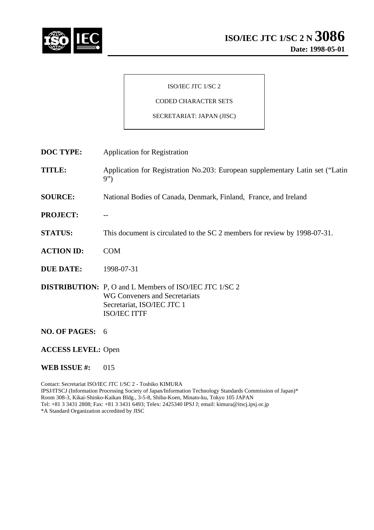

# ISO/IEC JTC 1/SC 2

# CODED CHARACTER SETS

## SECRETARIAT: JAPAN (JISC)

| <b>DOC TYPE:</b>          | <b>Application for Registration</b>                                                                                                                        |
|---------------------------|------------------------------------------------------------------------------------------------------------------------------------------------------------|
| <b>TITLE:</b>             | Application for Registration No.203: European supplementary Latin set ("Latin<br>9")                                                                       |
| <b>SOURCE:</b>            | National Bodies of Canada, Denmark, Finland, France, and Ireland                                                                                           |
| <b>PROJECT:</b>           |                                                                                                                                                            |
| <b>STATUS:</b>            | This document is circulated to the SC 2 members for review by 1998-07-31.                                                                                  |
| <b>ACTION ID:</b>         | <b>COM</b>                                                                                                                                                 |
| <b>DUE DATE:</b>          | 1998-07-31                                                                                                                                                 |
|                           | <b>DISTRIBUTION:</b> P, O and L Members of ISO/IEC JTC 1/SC 2<br><b>WG Conveners and Secretariats</b><br>Secretariat, ISO/IEC JTC 1<br><b>ISO/IEC ITTF</b> |
| NO. OF PAGES: 6           |                                                                                                                                                            |
| <b>ACCESS LEVEL: Open</b> |                                                                                                                                                            |

#### **WEB ISSUE #: 015**

Contact: Secretariat ISO/IEC JTC 1/SC 2 - Toshiko KIMURA IPSJ/ITSCJ (Information Processing Society of Japan/Information Technology Standards Commission of Japan)\* Room 308-3, Kikai-Shinko-Kaikan Bldg., 3-5-8, Shiba-Koen, Minato-ku, Tokyo 105 JAPAN Tel: +81 3 3431 2808; Fax: +81 3 3431 6493; Telex: 2425340 IPSJ J; email: kimura@itscj.ipsj.or.jp \*A Standard Organization accredited by JISC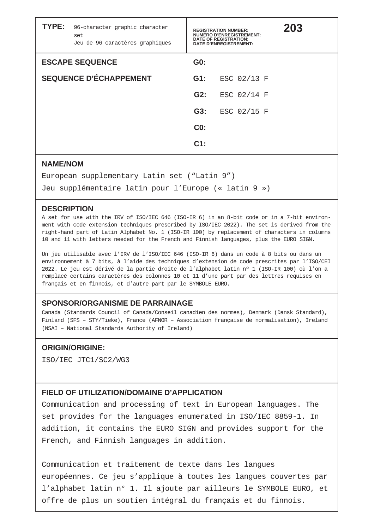| TYPE: | 96-character graphic character<br>set<br>Jeu de 96 caractères graphiques | <b>REGISTRATION NUMBER:</b><br><b>NUMÉRO D'ENREGISTREMENT:</b><br><b>DATE OF REGISTRATION:</b><br><b>DATE D'ENREGISTREMENT:</b> | 203         |  |
|-------|--------------------------------------------------------------------------|---------------------------------------------------------------------------------------------------------------------------------|-------------|--|
|       | <b>ESCAPE SEQUENCE</b>                                                   | GO:                                                                                                                             |             |  |
|       | <b>SEQUENCE D'ÉCHAPPEMENT</b>                                            | $G1$ :                                                                                                                          | ESC 02/13 F |  |
|       |                                                                          | G2:                                                                                                                             | ESC 02/14 F |  |
|       |                                                                          | G3:                                                                                                                             | ESC 02/15 F |  |
|       |                                                                          | CO <sub>2</sub>                                                                                                                 |             |  |
|       |                                                                          | $C1$ :                                                                                                                          |             |  |

## **NAME/NOM**

European supplementary Latin set ("Latin 9")

Jeu supplémentaire latin pour l'Europe (« latin 9 »)

#### **DESCRIPTION**

A set for use with the IRV of ISO/IEC 646 (ISO-IR 6) in an 8-bit code or in a 7-bit environment with code extension techniques prescribed by ISO/IEC 2022). The set is derived from the right-hand part of Latin Alphabet No. 1 (ISO-IR 100) by replacement of characters in columns 10 and 11 with letters needed for the French and Finnish languages, plus the EURO SIGN.

Un jeu utilisable avec l'IRV de l'ISO/IEC 646 (ISO-IR 6) dans un code à 8 bits ou dans un environnement à 7 bits, à l'aide des techniques d'extension de code prescrites par l'ISO/CEI 2022. Le jeu est dérivé de la partie droite de l'alphabet latin nº 1 (ISO-IR 100) où l'on a remplacé certains caractères des colonnes 10 et 11 d'une part par des lettres requises en français et en finnois, et d'autre part par le SYMBOLE EURO.

## **SPONSOR/ORGANISME DE PARRAINAGE**

Canada (Standards Council of Canada/Conseil canadien des normes), Denmark (Dansk Standard), Finland (SFS – STY/Tieke), France (AFNOR – Association française de normalisation), Ireland (NSAI – National Standards Authority of Ireland)

## **ORIGIN/ORIGINE:**

ISO/IEC JTC1/SC2/WG3

# **FIELD OF UTILIZATION/DOMAINE D'APPLICATION**

Communication and processing of text in European languages. The set provides for the languages enumerated in ISO/IEC 8859-1. In addition, it contains the EURO SIGN and provides support for the French, and Finnish languages in addition.

Communication et traitement de texte dans les langues européennes. Ce jeu s'applique à toutes les langues couvertes par l'alphabet latin n° 1. Il ajoute par ailleurs le SYMBOLE EURO, et offre de plus un soutien intégral du français et du finnois.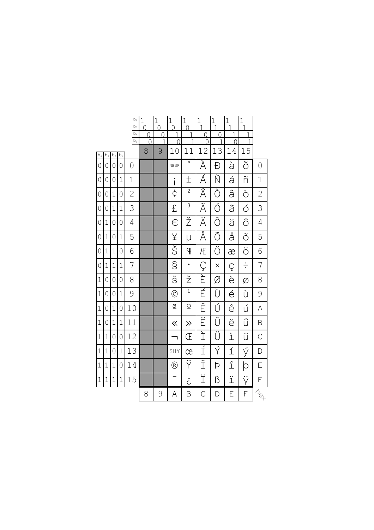|                |             |                |                | $b_s$<br>b <sub>7</sub>   | 1<br>0              | 1<br>$\Omega$ | 1<br>$\Omega$ | 1<br>$\Omega$  | 1<br>1               | 1<br>1   | 1<br>1 | $\overline{1}$<br>$\mathbf{1}$ |                       |
|----------------|-------------|----------------|----------------|---------------------------|---------------------|---------------|---------------|----------------|----------------------|----------|--------|--------------------------------|-----------------------|
|                |             |                |                | $b_{6}$<br>b <sub>5</sub> | N<br>$\overline{0}$ | $\Omega$<br>1 | 1<br>$\Omega$ | 1<br>1         | $\Omega$<br>$\Omega$ | 0<br>1   | 1<br>0 | 1<br>$\overline{1}$            |                       |
| $b_4$          | $b_3$       | $\mathsf{b}_2$ | $\mathsf{b}_1$ |                           | 8                   | 9             | 10            | 11             | 12                   | 13       | 14     | 15                             |                       |
| 0              | 0           | $\overline{0}$ | 0              | 0                         |                     |               | <b>NBSP</b>   | $\circ$        | À                    | Đ        | à      | ð                              | 0                     |
| 0              | 0           | $\circ$        | 1              | 1                         |                     |               | i             | 土              | Á                    | Ñ        | á      | ñ                              | $\mathbf 1$           |
| $\overline{0}$ | 0           | $\mathbf{1}$   | 0              | $\overline{2}$            |                     |               | ¢             | $\sqrt{2}$     | Â                    | Ò        | â      | Ò                              | $\overline{2}$        |
| $\overline{0}$ | 0           | $\mathbf{1}$   | $\mathbf 1$    | 3                         |                     |               | £             | $\overline{3}$ | Ã                    | Ó        | ã      | Ó                              | 3                     |
| 0              | 1           | $\overline{0}$ | 0              | 4                         |                     |               | €             | Ž              | Ä                    | Ô        | ä      | ô                              | 4                     |
| $\overline{0}$ | $\mathbf 1$ | $\overline{0}$ | $\mathbf 1$    | 5                         |                     |               | ¥             | μ              | Å                    | Õ        | å      | Õ                              | 5                     |
| $\overline{0}$ | $\mathbf 1$ | $\mathbf{1}$   | 0              | 6                         |                     |               | Š             | ዋ              | Æ                    | Ö        | æ      | $\ddot{\circ}$                 | 6                     |
| $\overline{0}$ | 1           | $\mathbf 1$    | $\mathbf 1$    | 7                         |                     |               | S             | $\bullet$      | Ç                    | $\times$ | Ç      | $\div$                         | 7                     |
| $\mathbf 1$    | 0           | $\mathbf 0$    | 0              | 8                         |                     |               | š             | ž              | È                    | Ø        | è      | Ø                              | 8                     |
| $\mathbf 1$    | 0           | $\overline{0}$ | $\mathbf 1$    | 9                         |                     |               | $\odot$       | $\mathbf{1}$   | É                    | Ù        | é      | ù                              | 9                     |
| $\mathbf{1}$   | 0           | $\mathbf{1}$   | 0              | 10                        |                     |               | $\mathsf{a}$  | $\mathcal{Q}$  | Ê                    | Ú        | ê      | ú                              | Α                     |
| $\mathbf 1$    | 0           | $\mathbf 1$    | 1              | 11                        |                     |               | $\ll$         | $\gg$          | Ë                    | Û        | ë      | û                              | Β                     |
| $\mathbf{1}$   | $\mathbf 1$ | $\mathbf 0$    | 0              | 12                        |                     |               | ٦             | Œ              | Ì                    | Ü        | Ĺ      | ü                              | $\mathcal{C}$         |
| $\mathbf 1$    | $\mathbf 1$ | $\mathbf 0$    | 1              | 13                        |                     |               | SHY           | œ              | Í                    | Ý        | ĺ      | ý                              | D                     |
| $\mathbf 1$    | 1           | $\mathbf 1$    | 0              | 14                        |                     |               | $^\copyright$ | Ÿ              | $\overline{\hat{1}}$ | Þ        | î      | þ                              | E                     |
| $\mathbf{1}$   | 1           | $\mathbf{1}$   | $\mathbf{1}$   | 15                        |                     |               |               | ݨ              | Ϊ                    | ß        | ï      | ÿ                              | F                     |
|                |             |                |                |                           | 8                   | 9             | Α             | B              | $\mathcal{C}$        | D        | Ε      | F                              | $\bar{z}_{\text{eq}}$ |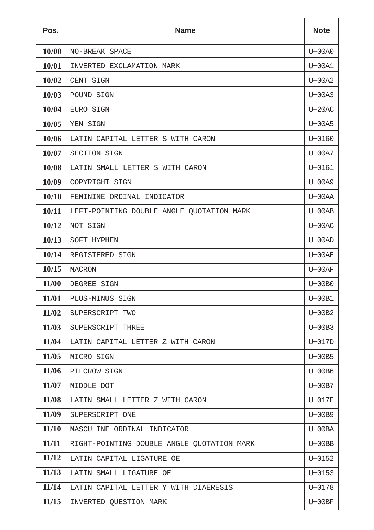| Pos.  | <b>Name</b>                                |            |  |  |  |  |
|-------|--------------------------------------------|------------|--|--|--|--|
| 10/00 | NO-BREAK SPACE                             | U+00A0     |  |  |  |  |
| 10/01 | INVERTED EXCLAMATION MARK                  | U+00A1     |  |  |  |  |
| 10/02 | CENT SIGN                                  | $U+00A2$   |  |  |  |  |
| 10/03 | POUND SIGN                                 | $U+00A3$   |  |  |  |  |
| 10/04 | EURO SIGN                                  | $U+20AC$   |  |  |  |  |
| 10/05 | YEN SIGN                                   | U+00A5     |  |  |  |  |
| 10/06 | LATIN CAPITAL LETTER S WITH CARON          | U+0160     |  |  |  |  |
| 10/07 | SECTION SIGN                               | U+00A7     |  |  |  |  |
| 10/08 | LATIN SMALL LETTER S WITH CARON            | $U + 0161$ |  |  |  |  |
| 10/09 | COPYRIGHT SIGN                             | U+00A9     |  |  |  |  |
| 10/10 | FEMININE ORDINAL INDICATOR                 | $U+00AA$   |  |  |  |  |
| 10/11 | LEFT-POINTING DOUBLE ANGLE QUOTATION MARK  | $U+00AB$   |  |  |  |  |
| 10/12 | NOT SIGN                                   | $U+00AC$   |  |  |  |  |
| 10/13 | SOFT HYPHEN                                | $U+00AD$   |  |  |  |  |
| 10/14 | REGISTERED SIGN                            | $U+00AE$   |  |  |  |  |
| 10/15 | <b>MACRON</b>                              | $U+00AF$   |  |  |  |  |
| 11/00 | DEGREE SIGN                                | $U+00B0$   |  |  |  |  |
| 11/01 | PLUS-MINUS SIGN                            | U+00B1     |  |  |  |  |
| 11/02 | SUPERSCRIPT TWO                            | $U+00B2$   |  |  |  |  |
| 11/03 | SUPERSCRIPT THREE                          | $U+00B3$   |  |  |  |  |
| 11/04 | LATIN CAPITAL LETTER Z WITH CARON          | U+017D     |  |  |  |  |
| 11/05 | MICRO SIGN                                 | $U+00B5$   |  |  |  |  |
| 11/06 | PILCROW SIGN                               | U+00B6     |  |  |  |  |
| 11/07 | MIDDLE DOT                                 | U+00B7     |  |  |  |  |
| 11/08 | LATIN SMALL LETTER Z WITH CARON            | U+017E     |  |  |  |  |
| 11/09 | SUPERSCRIPT ONE                            | U+00B9     |  |  |  |  |
| 11/10 | MASCULINE ORDINAL INDICATOR                | $U+00BA$   |  |  |  |  |
| 11/11 | RIGHT-POINTING DOUBLE ANGLE QUOTATION MARK | $U+00BB$   |  |  |  |  |
| 11/12 | LATIN CAPITAL LIGATURE OE                  | U+0152     |  |  |  |  |
| 11/13 | LATIN SMALL LIGATURE OE                    | $U + 0153$ |  |  |  |  |
| 11/14 | LATIN CAPITAL LETTER Y WITH DIAERESIS      | U+0178     |  |  |  |  |
| 11/15 | INVERTED QUESTION MARK                     | $U+00BF$   |  |  |  |  |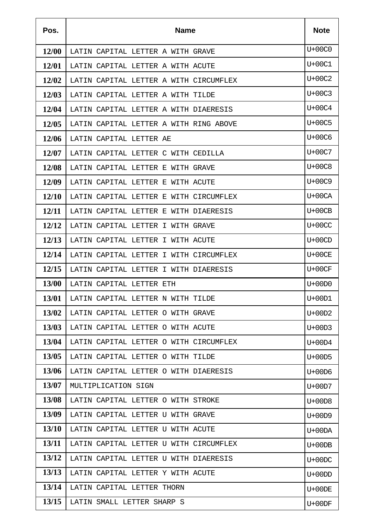| Pos.         | <b>Name</b>                            | <b>Note</b> |
|--------------|----------------------------------------|-------------|
| <b>12/00</b> | LATIN CAPITAL LETTER A WITH GRAVE      | U+00C0      |
| 12/01        | LATIN CAPITAL LETTER A WITH ACUTE      | U+00C1      |
| 12/02        | LATIN CAPITAL LETTER A WITH CIRCUMFLEX | U+00C2      |
| 12/03        | LATIN CAPITAL LETTER A WITH TILDE      | U+00C3      |
| 12/04        | LATIN CAPITAL LETTER A WITH DIAERESIS  | U+00C4      |
| 12/05        | LATIN CAPITAL LETTER A WITH RING ABOVE | U+00C5      |
| 12/06        | LATIN CAPITAL LETTER AE                | U+00C6      |
| 12/07        | LATIN CAPITAL LETTER C WITH CEDILLA    | U+00C7      |
| 12/08        | LATIN CAPITAL LETTER E WITH GRAVE      | U+00C8      |
| 12/09        | LATIN CAPITAL LETTER E WITH ACUTE      | U+00C9      |
| <b>12/10</b> | LATIN CAPITAL LETTER E WITH CIRCUMFLEX | $U+00CA$    |
| 12/11        | LATIN CAPITAL LETTER E WITH DIAERESIS  | $U+00CB$    |
| 12/12        | LATIN CAPITAL LETTER I WITH GRAVE      | $U+00CC$    |
| 12/13        | LATIN CAPITAL LETTER I WITH ACUTE      | $U+00CD$    |
| 12/14        | LATIN CAPITAL LETTER I WITH CIRCUMFLEX | U+00CE      |
| 12/15        | LATIN CAPITAL LETTER I WITH DIAERESIS  | $U+00CF$    |
| 13/00        | LATIN CAPITAL LETTER ETH               | $U+00D0$    |
| 13/01        | LATIN CAPITAL LETTER N WITH TILDE      | U+00D1      |
| 13/02        | LATIN CAPITAL LETTER O WITH GRAVE      | $U+00D2$    |
| 13/03        | LATIN CAPITAL LETTER O WITH ACUTE      | $U+00D3$    |
| 13/04        | LATIN CAPITAL LETTER O WITH CIRCUMFLEX | U+00D4      |
| 13/05        | LATIN CAPITAL LETTER O WITH TILDE      | $U+00D5$    |
| 13/06        | LATIN CAPITAL LETTER O WITH DIAERESIS  | $U+00D6$    |
| 13/07        | MULTIPLICATION SIGN                    | U+00D7      |
| 13/08        | LATIN CAPITAL LETTER O WITH STROKE     | $U+00D8$    |
| 13/09        | LATIN CAPITAL LETTER U WITH GRAVE      | U+00D9      |
| 13/10        | LATIN CAPITAL LETTER U WITH ACUTE      | U+00DA      |
| 13/11        | LATIN CAPITAL LETTER U WITH CIRCUMFLEX | $U+00DB$    |
| 13/12        | LATIN CAPITAL LETTER U WITH DIAERESIS  | $U+00DC$    |
| 13/13        | LATIN CAPITAL LETTER Y WITH ACUTE      | $U+00DD$    |
| 13/14        | LATIN CAPITAL LETTER THORN             | $U+00DE$    |
| 13/15        | LATIN SMALL LETTER SHARP S             | $U+00DF$    |